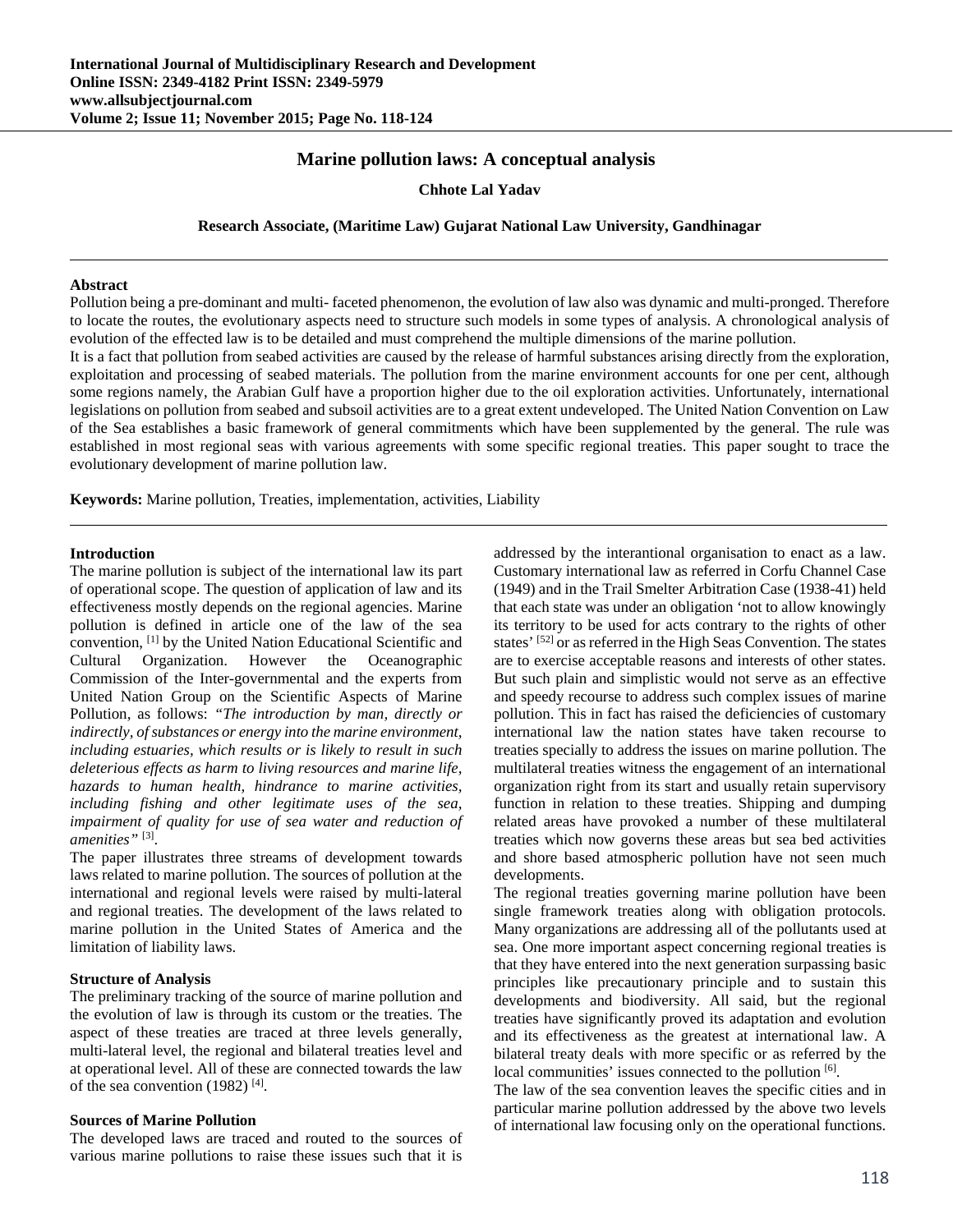# **Marine pollution laws: A conceptual analysis**

### **Chhote Lal Yadav**

#### **Research Associate, (Maritime Law) Gujarat National Law University, Gandhinagar**

#### **Abstract**

Pollution being a pre-dominant and multi- faceted phenomenon, the evolution of law also was dynamic and multi-pronged. Therefore to locate the routes, the evolutionary aspects need to structure such models in some types of analysis. A chronological analysis of evolution of the effected law is to be detailed and must comprehend the multiple dimensions of the marine pollution.

It is a fact that pollution from seabed activities are caused by the release of harmful substances arising directly from the exploration, exploitation and processing of seabed materials. The pollution from the marine environment accounts for one per cent, although some regions namely, the Arabian Gulf have a proportion higher due to the oil exploration activities. Unfortunately, international legislations on pollution from seabed and subsoil activities are to a great extent undeveloped. The United Nation Convention on Law of the Sea establishes a basic framework of general commitments which have been supplemented by the general. The rule was established in most regional seas with various agreements with some specific regional treaties. This paper sought to trace the evolutionary development of marine pollution law.

**Keywords:** Marine pollution, Treaties, implementation, activities, Liability

#### **Introduction**

The marine pollution is subject of the international law its part of operational scope. The question of application of law and its effectiveness mostly depends on the regional agencies. Marine pollution is defined in article one of the law of the sea convention, [1] by the United Nation Educational Scientific and Cultural Organization. However the Oceanographic Commission of the Inter-governmental and the experts from United Nation Group on the Scientific Aspects of Marine Pollution, as follows: *"The introduction by man, directly or indirectly, of substances or energy into the marine environment, including estuaries, which results or is likely to result in such deleterious effects as harm to living resources and marine life, hazards to human health, hindrance to marine activities, including fishing and other legitimate uses of the sea, impairment of quality for use of sea water and reduction of amenities"* [3].

The paper illustrates three streams of development towards laws related to marine pollution. The sources of pollution at the international and regional levels were raised by multi-lateral and regional treaties. The development of the laws related to marine pollution in the United States of America and the limitation of liability laws.

### **Structure of Analysis**

The preliminary tracking of the source of marine pollution and the evolution of law is through its custom or the treaties. The aspect of these treaties are traced at three levels generally, multi-lateral level, the regional and bilateral treaties level and at operational level. All of these are connected towards the law of the sea convention (1982) [4].

#### **Sources of Marine Pollution**

The developed laws are traced and routed to the sources of various marine pollutions to raise these issues such that it is addressed by the interantional organisation to enact as a law. Customary international law as referred in Corfu Channel Case (1949) and in the Trail Smelter Arbitration Case (1938-41) held that each state was under an obligation 'not to allow knowingly its territory to be used for acts contrary to the rights of other states' [52] or as referred in the High Seas Convention. The states are to exercise acceptable reasons and interests of other states. But such plain and simplistic would not serve as an effective and speedy recourse to address such complex issues of marine pollution. This in fact has raised the deficiencies of customary international law the nation states have taken recourse to treaties specially to address the issues on marine pollution. The multilateral treaties witness the engagement of an international organization right from its start and usually retain supervisory function in relation to these treaties. Shipping and dumping related areas have provoked a number of these multilateral treaties which now governs these areas but sea bed activities and shore based atmospheric pollution have not seen much developments.

The regional treaties governing marine pollution have been single framework treaties along with obligation protocols. Many organizations are addressing all of the pollutants used at sea. One more important aspect concerning regional treaties is that they have entered into the next generation surpassing basic principles like precautionary principle and to sustain this developments and biodiversity. All said, but the regional treaties have significantly proved its adaptation and evolution and its effectiveness as the greatest at international law. A bilateral treaty deals with more specific or as referred by the local communities' issues connected to the pollution [6].

The law of the sea convention leaves the specific cities and in particular marine pollution addressed by the above two levels of international law focusing only on the operational functions.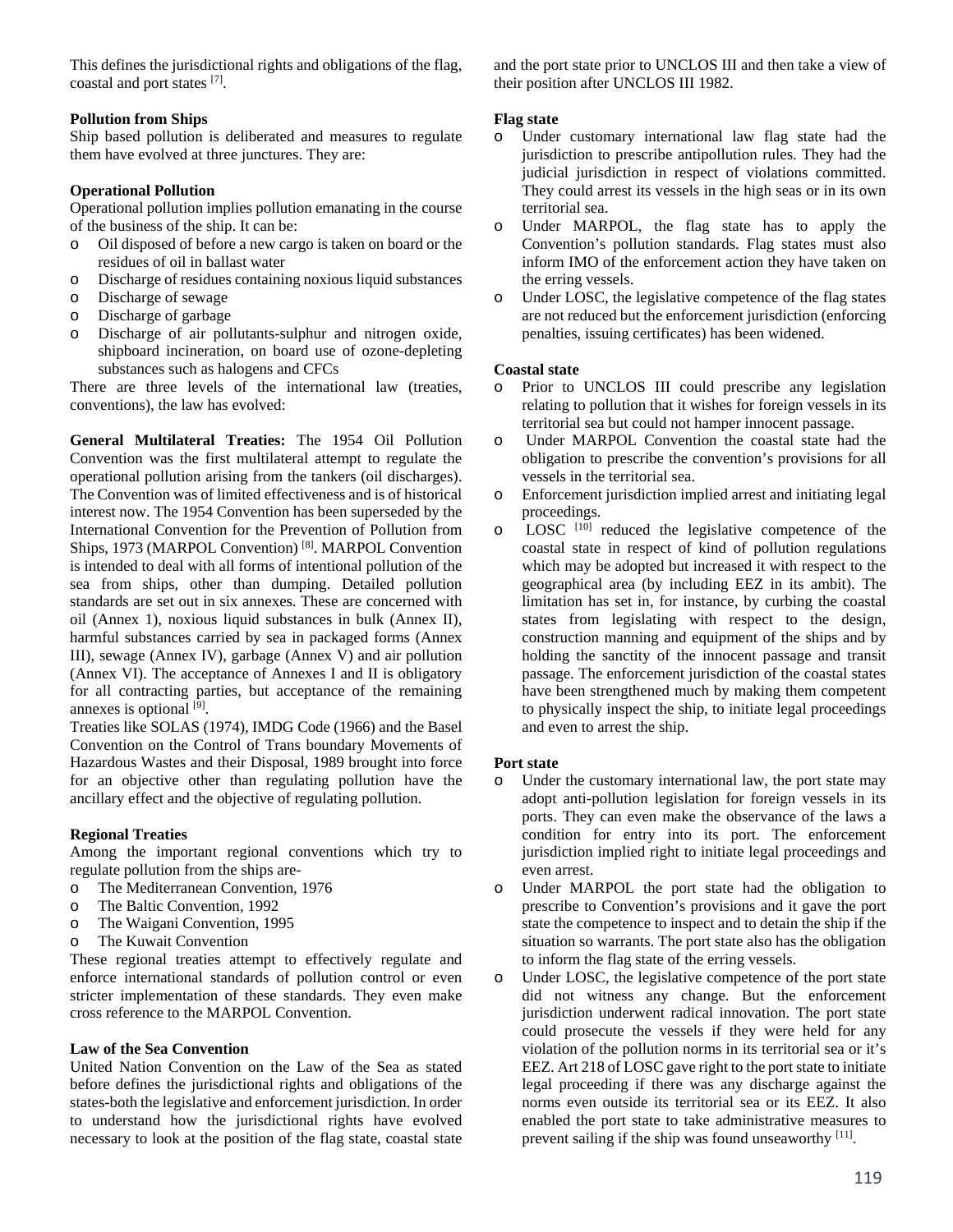This defines the jurisdictional rights and obligations of the flag, coastal and port states [7].

# **Pollution from Ships**

Ship based pollution is deliberated and measures to regulate them have evolved at three junctures. They are:

# **Operational Pollution**

Operational pollution implies pollution emanating in the course of the business of the ship. It can be:

- o Oil disposed of before a new cargo is taken on board or the residues of oil in ballast water
- o Discharge of residues containing noxious liquid substances
- o Discharge of sewage
- o Discharge of garbage
- o Discharge of air pollutants-sulphur and nitrogen oxide, shipboard incineration, on board use of ozone-depleting substances such as halogens and CFCs

There are three levels of the international law (treaties, conventions), the law has evolved:

**General Multilateral Treaties:** The 1954 Oil Pollution Convention was the first multilateral attempt to regulate the operational pollution arising from the tankers (oil discharges). The Convention was of limited effectiveness and is of historical interest now. The 1954 Convention has been superseded by the International Convention for the Prevention of Pollution from Ships, 1973 (MARPOL Convention)<sup>[8]</sup>. MARPOL Convention is intended to deal with all forms of intentional pollution of the sea from ships, other than dumping. Detailed pollution standards are set out in six annexes. These are concerned with oil (Annex 1), noxious liquid substances in bulk (Annex II), harmful substances carried by sea in packaged forms (Annex III), sewage (Annex IV), garbage (Annex V) and air pollution (Annex VI). The acceptance of Annexes I and II is obligatory for all contracting parties, but acceptance of the remaining annexes is optional [9].

Treaties like SOLAS (1974), IMDG Code (1966) and the Basel Convention on the Control of Trans boundary Movements of Hazardous Wastes and their Disposal, 1989 brought into force for an objective other than regulating pollution have the ancillary effect and the objective of regulating pollution.

# **Regional Treaties**

Among the important regional conventions which try to regulate pollution from the ships are-

- o The Mediterranean Convention, 1976
- o The Baltic Convention, 1992
- o The Waigani Convention, 1995
- o The Kuwait Convention

These regional treaties attempt to effectively regulate and enforce international standards of pollution control or even stricter implementation of these standards. They even make cross reference to the MARPOL Convention.

# **Law of the Sea Convention**

United Nation Convention on the Law of the Sea as stated before defines the jurisdictional rights and obligations of the states-both the legislative and enforcement jurisdiction. In order to understand how the jurisdictional rights have evolved necessary to look at the position of the flag state, coastal state and the port state prior to UNCLOS III and then take a view of their position after UNCLOS III 1982.

# **Flag state**

- o Under customary international law flag state had the jurisdiction to prescribe antipollution rules. They had the judicial jurisdiction in respect of violations committed. They could arrest its vessels in the high seas or in its own territorial sea.
- o Under MARPOL, the flag state has to apply the Convention's pollution standards. Flag states must also inform IMO of the enforcement action they have taken on the erring vessels.
- o Under LOSC, the legislative competence of the flag states are not reduced but the enforcement jurisdiction (enforcing penalties, issuing certificates) has been widened.

# **Coastal state**

- o Prior to UNCLOS III could prescribe any legislation relating to pollution that it wishes for foreign vessels in its territorial sea but could not hamper innocent passage.
- o Under MARPOL Convention the coastal state had the obligation to prescribe the convention's provisions for all vessels in the territorial sea.
- o Enforcement jurisdiction implied arrest and initiating legal proceedings.
- o LOSC [10] reduced the legislative competence of the coastal state in respect of kind of pollution regulations which may be adopted but increased it with respect to the geographical area (by including EEZ in its ambit). The limitation has set in, for instance, by curbing the coastal states from legislating with respect to the design, construction manning and equipment of the ships and by holding the sanctity of the innocent passage and transit passage. The enforcement jurisdiction of the coastal states have been strengthened much by making them competent to physically inspect the ship, to initiate legal proceedings and even to arrest the ship.

# **Port state**

- o Under the customary international law, the port state may adopt anti-pollution legislation for foreign vessels in its ports. They can even make the observance of the laws a condition for entry into its port. The enforcement jurisdiction implied right to initiate legal proceedings and even arrest.
- o Under MARPOL the port state had the obligation to prescribe to Convention's provisions and it gave the port state the competence to inspect and to detain the ship if the situation so warrants. The port state also has the obligation to inform the flag state of the erring vessels.
- o Under LOSC, the legislative competence of the port state did not witness any change. But the enforcement jurisdiction underwent radical innovation. The port state could prosecute the vessels if they were held for any violation of the pollution norms in its territorial sea or it's EEZ. Art 218 of LOSC gave right to the port state to initiate legal proceeding if there was any discharge against the norms even outside its territorial sea or its EEZ. It also enabled the port state to take administrative measures to prevent sailing if the ship was found unseaworthy [11].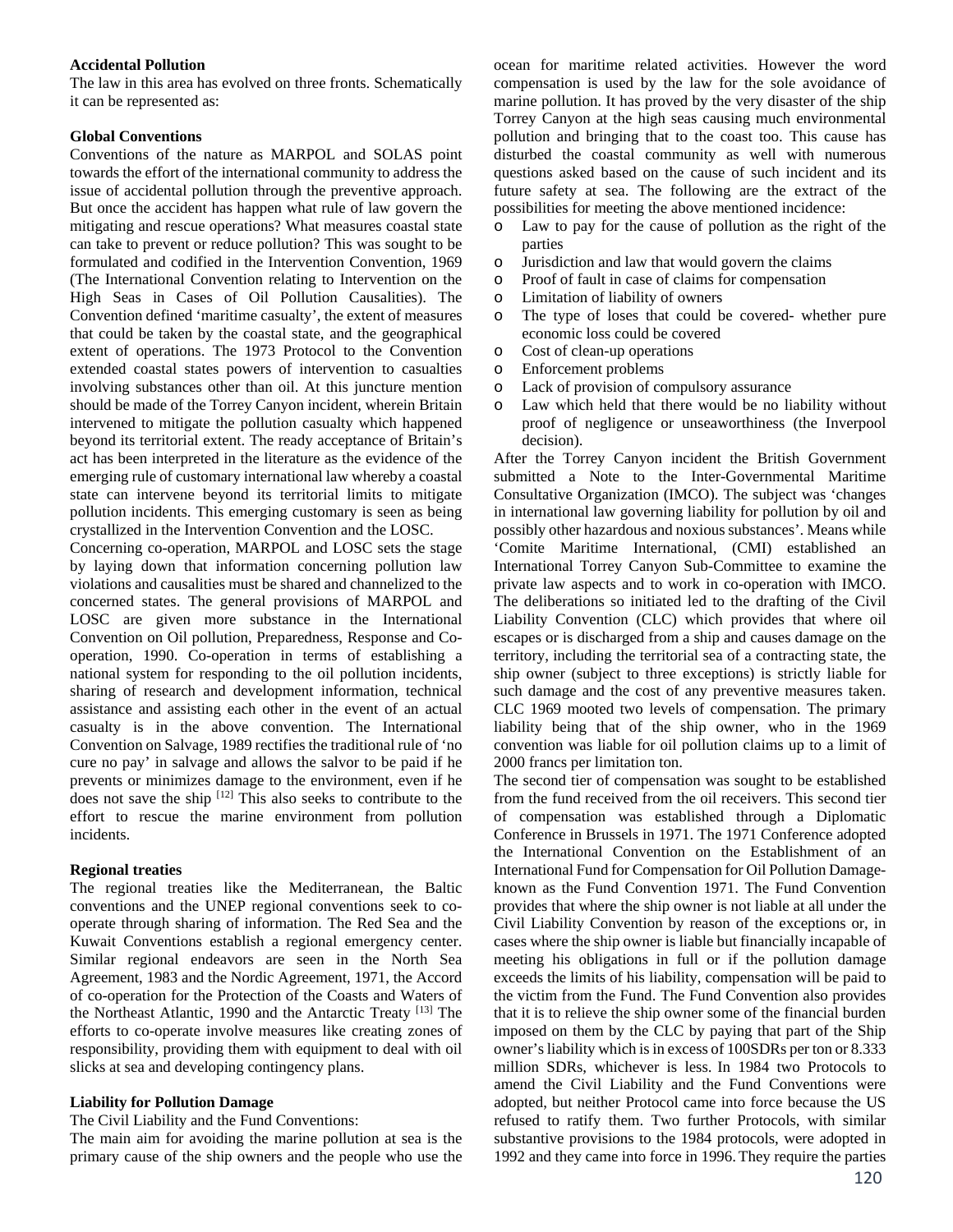### **Accidental Pollution**

The law in this area has evolved on three fronts. Schematically it can be represented as:

### **Global Conventions**

Conventions of the nature as MARPOL and SOLAS point towards the effort of the international community to address the issue of accidental pollution through the preventive approach. But once the accident has happen what rule of law govern the mitigating and rescue operations? What measures coastal state can take to prevent or reduce pollution? This was sought to be formulated and codified in the Intervention Convention, 1969 (The International Convention relating to Intervention on the High Seas in Cases of Oil Pollution Causalities). The Convention defined 'maritime casualty', the extent of measures that could be taken by the coastal state, and the geographical extent of operations. The 1973 Protocol to the Convention extended coastal states powers of intervention to casualties involving substances other than oil. At this juncture mention should be made of the Torrey Canyon incident, wherein Britain intervened to mitigate the pollution casualty which happened beyond its territorial extent. The ready acceptance of Britain's act has been interpreted in the literature as the evidence of the emerging rule of customary international law whereby a coastal state can intervene beyond its territorial limits to mitigate pollution incidents. This emerging customary is seen as being crystallized in the Intervention Convention and the LOSC.

Concerning co-operation, MARPOL and LOSC sets the stage by laying down that information concerning pollution law violations and causalities must be shared and channelized to the concerned states. The general provisions of MARPOL and LOSC are given more substance in the International Convention on Oil pollution, Preparedness, Response and Cooperation, 1990. Co-operation in terms of establishing a national system for responding to the oil pollution incidents, sharing of research and development information, technical assistance and assisting each other in the event of an actual casualty is in the above convention. The International Convention on Salvage, 1989 rectifies the traditional rule of 'no cure no pay' in salvage and allows the salvor to be paid if he prevents or minimizes damage to the environment, even if he does not save the ship <sup>[12]</sup> This also seeks to contribute to the effort to rescue the marine environment from pollution incidents.

# **Regional treaties**

The regional treaties like the Mediterranean, the Baltic conventions and the UNEP regional conventions seek to cooperate through sharing of information. The Red Sea and the Kuwait Conventions establish a regional emergency center. Similar regional endeavors are seen in the North Sea Agreement, 1983 and the Nordic Agreement, 1971, the Accord of co-operation for the Protection of the Coasts and Waters of the Northeast Atlantic, 1990 and the Antarctic Treaty [13] The efforts to co-operate involve measures like creating zones of responsibility, providing them with equipment to deal with oil slicks at sea and developing contingency plans.

# **Liability for Pollution Damage**

The Civil Liability and the Fund Conventions:

The main aim for avoiding the marine pollution at sea is the primary cause of the ship owners and the people who use the ocean for maritime related activities. However the word compensation is used by the law for the sole avoidance of marine pollution. It has proved by the very disaster of the ship Torrey Canyon at the high seas causing much environmental pollution and bringing that to the coast too. This cause has disturbed the coastal community as well with numerous questions asked based on the cause of such incident and its future safety at sea. The following are the extract of the possibilities for meeting the above mentioned incidence:

- o Law to pay for the cause of pollution as the right of the parties
- o Jurisdiction and law that would govern the claims
- o Proof of fault in case of claims for compensation
- o Limitation of liability of owners
- o The type of loses that could be covered- whether pure economic loss could be covered
- o Cost of clean-up operations
- o Enforcement problems
- o Lack of provision of compulsory assurance
- Law which held that there would be no liability without proof of negligence or unseaworthiness (the Inverpool decision).

After the Torrey Canyon incident the British Government submitted a Note to the Inter-Governmental Maritime Consultative Organization (IMCO). The subject was 'changes in international law governing liability for pollution by oil and possibly other hazardous and noxious substances'. Means while 'Comite Maritime International, (CMI) established an International Torrey Canyon Sub-Committee to examine the private law aspects and to work in co-operation with IMCO. The deliberations so initiated led to the drafting of the Civil Liability Convention (CLC) which provides that where oil escapes or is discharged from a ship and causes damage on the territory, including the territorial sea of a contracting state, the ship owner (subject to three exceptions) is strictly liable for such damage and the cost of any preventive measures taken. CLC 1969 mooted two levels of compensation. The primary liability being that of the ship owner, who in the 1969 convention was liable for oil pollution claims up to a limit of 2000 francs per limitation ton.

The second tier of compensation was sought to be established from the fund received from the oil receivers. This second tier of compensation was established through a Diplomatic Conference in Brussels in 1971. The 1971 Conference adopted the International Convention on the Establishment of an International Fund for Compensation for Oil Pollution Damageknown as the Fund Convention 1971. The Fund Convention provides that where the ship owner is not liable at all under the Civil Liability Convention by reason of the exceptions or, in cases where the ship owner is liable but financially incapable of meeting his obligations in full or if the pollution damage exceeds the limits of his liability, compensation will be paid to the victim from the Fund. The Fund Convention also provides that it is to relieve the ship owner some of the financial burden imposed on them by the CLC by paying that part of the Ship owner's liability which is in excess of 100SDRs per ton or 8.333 million SDRs, whichever is less. In 1984 two Protocols to amend the Civil Liability and the Fund Conventions were adopted, but neither Protocol came into force because the US refused to ratify them. Two further Protocols, with similar substantive provisions to the 1984 protocols, were adopted in 1992 and they came into force in 1996.They require the parties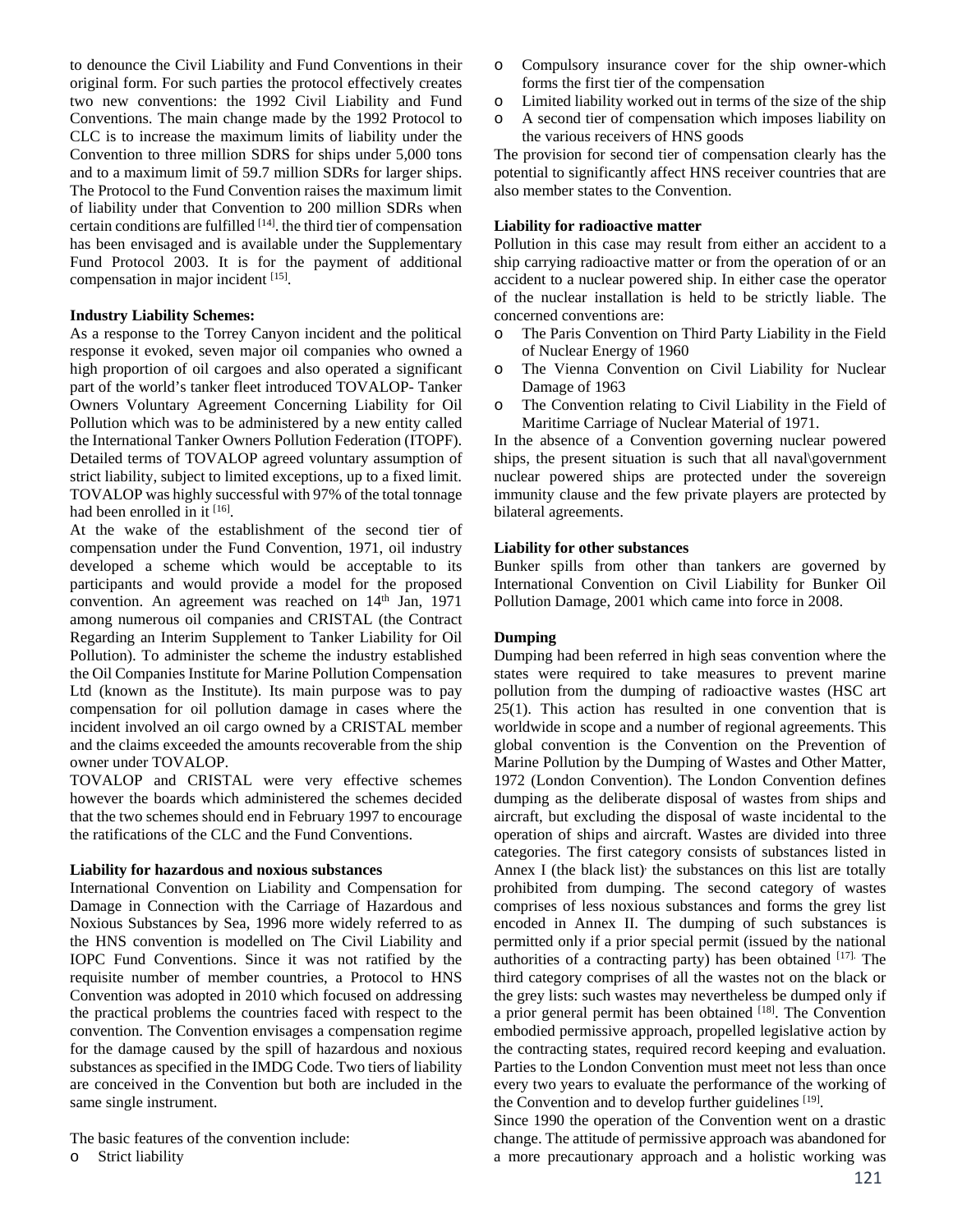to denounce the Civil Liability and Fund Conventions in their original form. For such parties the protocol effectively creates two new conventions: the 1992 Civil Liability and Fund Conventions. The main change made by the 1992 Protocol to CLC is to increase the maximum limits of liability under the Convention to three million SDRS for ships under 5,000 tons and to a maximum limit of 59.7 million SDRs for larger ships. The Protocol to the Fund Convention raises the maximum limit of liability under that Convention to 200 million SDRs when certain conditions are fulfilled  $[14]$ , the third tier of compensation has been envisaged and is available under the Supplementary Fund Protocol 2003. It is for the payment of additional compensation in major incident [15].

### **Industry Liability Schemes:**

As a response to the Torrey Canyon incident and the political response it evoked, seven major oil companies who owned a high proportion of oil cargoes and also operated a significant part of the world's tanker fleet introduced TOVALOP- Tanker Owners Voluntary Agreement Concerning Liability for Oil Pollution which was to be administered by a new entity called the International Tanker Owners Pollution Federation (ITOPF). Detailed terms of TOVALOP agreed voluntary assumption of strict liability, subject to limited exceptions, up to a fixed limit. TOVALOP was highly successful with 97% of the total tonnage had been enrolled in it [16].

At the wake of the establishment of the second tier of compensation under the Fund Convention, 1971, oil industry developed a scheme which would be acceptable to its participants and would provide a model for the proposed convention. An agreement was reached on 14<sup>th</sup> Jan, 1971 among numerous oil companies and CRISTAL (the Contract Regarding an Interim Supplement to Tanker Liability for Oil Pollution). To administer the scheme the industry established the Oil Companies Institute for Marine Pollution Compensation Ltd (known as the Institute). Its main purpose was to pay compensation for oil pollution damage in cases where the incident involved an oil cargo owned by a CRISTAL member and the claims exceeded the amounts recoverable from the ship owner under TOVALOP.

TOVALOP and CRISTAL were very effective schemes however the boards which administered the schemes decided that the two schemes should end in February 1997 to encourage the ratifications of the CLC and the Fund Conventions.

### **Liability for hazardous and noxious substances**

International Convention on Liability and Compensation for Damage in Connection with the Carriage of Hazardous and Noxious Substances by Sea, 1996 more widely referred to as the HNS convention is modelled on The Civil Liability and IOPC Fund Conventions. Since it was not ratified by the requisite number of member countries, a Protocol to HNS Convention was adopted in 2010 which focused on addressing the practical problems the countries faced with respect to the convention. The Convention envisages a compensation regime for the damage caused by the spill of hazardous and noxious substances as specified in the IMDG Code. Two tiers of liability are conceived in the Convention but both are included in the same single instrument.

The basic features of the convention include:

o Strict liability

- o Compulsory insurance cover for the ship owner-which forms the first tier of the compensation
- o Limited liability worked out in terms of the size of the ship
- o A second tier of compensation which imposes liability on the various receivers of HNS goods

The provision for second tier of compensation clearly has the potential to significantly affect HNS receiver countries that are also member states to the Convention.

### **Liability for radioactive matter**

Pollution in this case may result from either an accident to a ship carrying radioactive matter or from the operation of or an accident to a nuclear powered ship. In either case the operator of the nuclear installation is held to be strictly liable. The concerned conventions are:

- o The Paris Convention on Third Party Liability in the Field of Nuclear Energy of 1960
- o The Vienna Convention on Civil Liability for Nuclear Damage of 1963
- o The Convention relating to Civil Liability in the Field of Maritime Carriage of Nuclear Material of 1971.

In the absence of a Convention governing nuclear powered ships, the present situation is such that all naval\government nuclear powered ships are protected under the sovereign immunity clause and the few private players are protected by bilateral agreements.

### **Liability for other substances**

Bunker spills from other than tankers are governed by International Convention on Civil Liability for Bunker Oil Pollution Damage, 2001 which came into force in 2008.

# **Dumping**

Dumping had been referred in high seas convention where the states were required to take measures to prevent marine pollution from the dumping of radioactive wastes (HSC art 25(1). This action has resulted in one convention that is worldwide in scope and a number of regional agreements. This global convention is the Convention on the Prevention of Marine Pollution by the Dumping of Wastes and Other Matter, 1972 (London Convention). The London Convention defines dumping as the deliberate disposal of wastes from ships and aircraft, but excluding the disposal of waste incidental to the operation of ships and aircraft. Wastes are divided into three categories. The first category consists of substances listed in Annex I (the black list) the substances on this list are totally prohibited from dumping. The second category of wastes comprises of less noxious substances and forms the grey list encoded in Annex II. The dumping of such substances is permitted only if a prior special permit (issued by the national authorities of a contracting party) has been obtained  $[17]$ . The third category comprises of all the wastes not on the black or the grey lists: such wastes may nevertheless be dumped only if a prior general permit has been obtained [18]. The Convention embodied permissive approach, propelled legislative action by the contracting states, required record keeping and evaluation. Parties to the London Convention must meet not less than once every two years to evaluate the performance of the working of the Convention and to develop further guidelines  $[19]$ .

Since 1990 the operation of the Convention went on a drastic change. The attitude of permissive approach was abandoned for a more precautionary approach and a holistic working was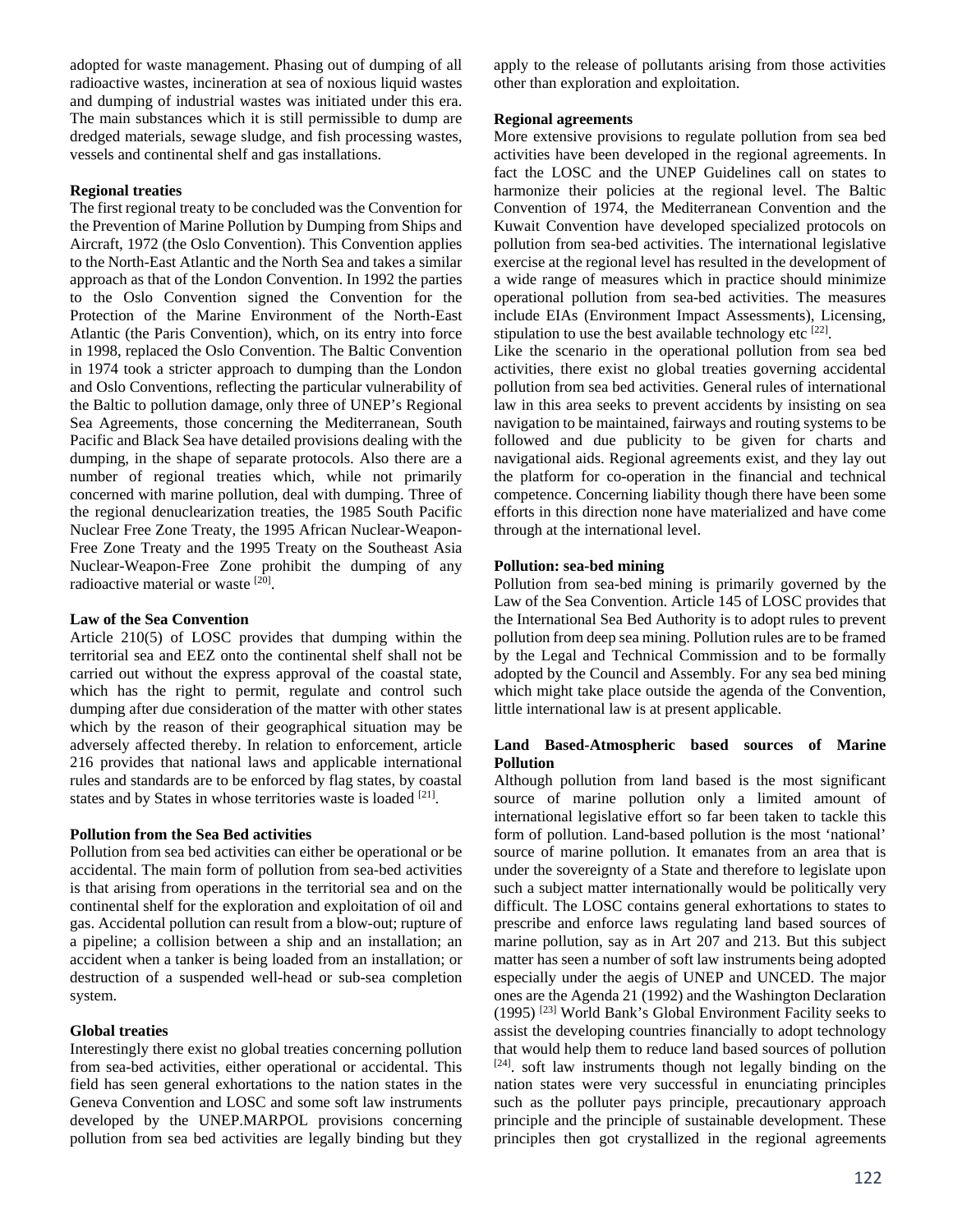adopted for waste management. Phasing out of dumping of all radioactive wastes, incineration at sea of noxious liquid wastes and dumping of industrial wastes was initiated under this era. The main substances which it is still permissible to dump are dredged materials, sewage sludge, and fish processing wastes, vessels and continental shelf and gas installations.

### **Regional treaties**

The first regional treaty to be concluded was the Convention for the Prevention of Marine Pollution by Dumping from Ships and Aircraft, 1972 (the Oslo Convention). This Convention applies to the North-East Atlantic and the North Sea and takes a similar approach as that of the London Convention. In 1992 the parties to the Oslo Convention signed the Convention for the Protection of the Marine Environment of the North-East Atlantic (the Paris Convention), which, on its entry into force in 1998, replaced the Oslo Convention. The Baltic Convention in 1974 took a stricter approach to dumping than the London and Oslo Conventions, reflecting the particular vulnerability of the Baltic to pollution damage, only three of UNEP's Regional Sea Agreements, those concerning the Mediterranean, South Pacific and Black Sea have detailed provisions dealing with the dumping, in the shape of separate protocols. Also there are a number of regional treaties which, while not primarily concerned with marine pollution, deal with dumping. Three of the regional denuclearization treaties, the 1985 South Pacific Nuclear Free Zone Treaty, the 1995 African Nuclear-Weapon-Free Zone Treaty and the 1995 Treaty on the Southeast Asia Nuclear-Weapon-Free Zone prohibit the dumping of any radioactive material or waste [20].

### **Law of the Sea Convention**

Article 210(5) of LOSC provides that dumping within the territorial sea and EEZ onto the continental shelf shall not be carried out without the express approval of the coastal state, which has the right to permit, regulate and control such dumping after due consideration of the matter with other states which by the reason of their geographical situation may be adversely affected thereby. In relation to enforcement, article 216 provides that national laws and applicable international rules and standards are to be enforced by flag states, by coastal states and by States in whose territories waste is loaded [21].

# **Pollution from the Sea Bed activities**

Pollution from sea bed activities can either be operational or be accidental. The main form of pollution from sea-bed activities is that arising from operations in the territorial sea and on the continental shelf for the exploration and exploitation of oil and gas. Accidental pollution can result from a blow-out; rupture of a pipeline; a collision between a ship and an installation; an accident when a tanker is being loaded from an installation; or destruction of a suspended well-head or sub-sea completion system.

# **Global treaties**

Interestingly there exist no global treaties concerning pollution from sea-bed activities, either operational or accidental. This field has seen general exhortations to the nation states in the Geneva Convention and LOSC and some soft law instruments developed by the UNEP.MARPOL provisions concerning pollution from sea bed activities are legally binding but they apply to the release of pollutants arising from those activities other than exploration and exploitation.

### **Regional agreements**

More extensive provisions to regulate pollution from sea bed activities have been developed in the regional agreements. In fact the LOSC and the UNEP Guidelines call on states to harmonize their policies at the regional level. The Baltic Convention of 1974, the Mediterranean Convention and the Kuwait Convention have developed specialized protocols on pollution from sea-bed activities. The international legislative exercise at the regional level has resulted in the development of a wide range of measures which in practice should minimize operational pollution from sea-bed activities. The measures include EIAs (Environment Impact Assessments), Licensing, stipulation to use the best available technology etc  $[22]$ .

Like the scenario in the operational pollution from sea bed activities, there exist no global treaties governing accidental pollution from sea bed activities. General rules of international law in this area seeks to prevent accidents by insisting on sea navigation to be maintained, fairways and routing systems to be followed and due publicity to be given for charts and navigational aids. Regional agreements exist, and they lay out the platform for co-operation in the financial and technical competence. Concerning liability though there have been some efforts in this direction none have materialized and have come through at the international level.

### **Pollution: sea-bed mining**

Pollution from sea-bed mining is primarily governed by the Law of the Sea Convention. Article 145 of LOSC provides that the International Sea Bed Authority is to adopt rules to prevent pollution from deep sea mining. Pollution rules are to be framed by the Legal and Technical Commission and to be formally adopted by the Council and Assembly. For any sea bed mining which might take place outside the agenda of the Convention, little international law is at present applicable.

### **Land Based-Atmospheric based sources of Marine Pollution**

Although pollution from land based is the most significant source of marine pollution only a limited amount of international legislative effort so far been taken to tackle this form of pollution. Land-based pollution is the most 'national' source of marine pollution. It emanates from an area that is under the sovereignty of a State and therefore to legislate upon such a subject matter internationally would be politically very difficult. The LOSC contains general exhortations to states to prescribe and enforce laws regulating land based sources of marine pollution, say as in Art 207 and 213. But this subject matter has seen a number of soft law instruments being adopted especially under the aegis of UNEP and UNCED. The major ones are the Agenda 21 (1992) and the Washington Declaration (1995) [23] World Bank's Global Environment Facility seeks to assist the developing countries financially to adopt technology that would help them to reduce land based sources of pollution  $[24]$ . soft law instruments though not legally binding on the nation states were very successful in enunciating principles such as the polluter pays principle, precautionary approach principle and the principle of sustainable development. These principles then got crystallized in the regional agreements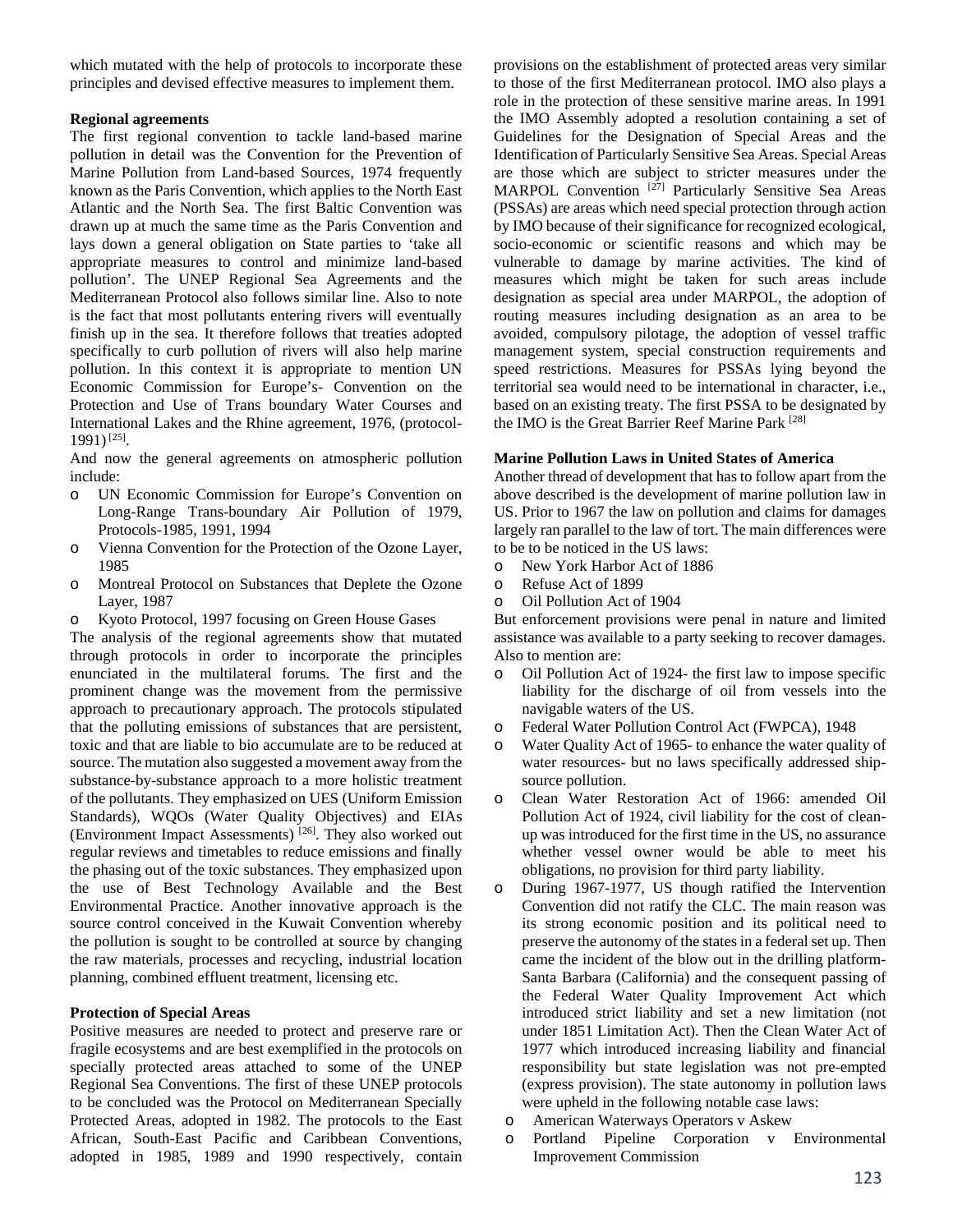which mutated with the help of protocols to incorporate these principles and devised effective measures to implement them.

# **Regional agreements**

The first regional convention to tackle land-based marine pollution in detail was the Convention for the Prevention of Marine Pollution from Land-based Sources, 1974 frequently known as the Paris Convention, which applies to the North East Atlantic and the North Sea. The first Baltic Convention was drawn up at much the same time as the Paris Convention and lays down a general obligation on State parties to 'take all appropriate measures to control and minimize land-based pollution'. The UNEP Regional Sea Agreements and the Mediterranean Protocol also follows similar line. Also to note is the fact that most pollutants entering rivers will eventually finish up in the sea. It therefore follows that treaties adopted specifically to curb pollution of rivers will also help marine pollution. In this context it is appropriate to mention UN Economic Commission for Europe's- Convention on the Protection and Use of Trans boundary Water Courses and International Lakes and the Rhine agreement, 1976, (protocol-1991) [25].

And now the general agreements on atmospheric pollution include:

- o UN Economic Commission for Europe's Convention on Long-Range Trans-boundary Air Pollution of 1979, Protocols-1985, 1991, 1994
- o Vienna Convention for the Protection of the Ozone Layer, 1985
- o Montreal Protocol on Substances that Deplete the Ozone Layer, 1987
- o Kyoto Protocol, 1997 focusing on Green House Gases

The analysis of the regional agreements show that mutated through protocols in order to incorporate the principles enunciated in the multilateral forums. The first and the prominent change was the movement from the permissive approach to precautionary approach. The protocols stipulated that the polluting emissions of substances that are persistent, toxic and that are liable to bio accumulate are to be reduced at source. The mutation also suggested a movement away from the substance-by-substance approach to a more holistic treatment of the pollutants. They emphasized on UES (Uniform Emission Standards), WQOs (Water Quality Objectives) and EIAs (Environment Impact Assessments) [26]. They also worked out regular reviews and timetables to reduce emissions and finally the phasing out of the toxic substances. They emphasized upon the use of Best Technology Available and the Best Environmental Practice. Another innovative approach is the source control conceived in the Kuwait Convention whereby the pollution is sought to be controlled at source by changing the raw materials, processes and recycling, industrial location planning, combined effluent treatment, licensing etc.

# **Protection of Special Areas**

Positive measures are needed to protect and preserve rare or fragile ecosystems and are best exemplified in the protocols on specially protected areas attached to some of the UNEP Regional Sea Conventions. The first of these UNEP protocols to be concluded was the Protocol on Mediterranean Specially Protected Areas, adopted in 1982. The protocols to the East African, South-East Pacific and Caribbean Conventions, adopted in 1985, 1989 and 1990 respectively, contain provisions on the establishment of protected areas very similar to those of the first Mediterranean protocol. IMO also plays a role in the protection of these sensitive marine areas. In 1991 the IMO Assembly adopted a resolution containing a set of Guidelines for the Designation of Special Areas and the Identification of Particularly Sensitive Sea Areas. Special Areas are those which are subject to stricter measures under the MARPOL Convention<sup>[27]</sup> Particularly Sensitive Sea Areas (PSSAs) are areas which need special protection through action by IMO because of their significance for recognized ecological, socio-economic or scientific reasons and which may be vulnerable to damage by marine activities. The kind of measures which might be taken for such areas include designation as special area under MARPOL, the adoption of routing measures including designation as an area to be avoided, compulsory pilotage, the adoption of vessel traffic management system, special construction requirements and speed restrictions. Measures for PSSAs lying beyond the territorial sea would need to be international in character, i.e., based on an existing treaty. The first PSSA to be designated by the IMO is the Great Barrier Reef Marine Park [28]

# **Marine Pollution Laws in United States of America**

Another thread of development that has to follow apart from the above described is the development of marine pollution law in US. Prior to 1967 the law on pollution and claims for damages largely ran parallel to the law of tort. The main differences were to be to be noticed in the US laws:

- o New York Harbor Act of 1886
- o Refuse Act of 1899
- o Oil Pollution Act of 1904

But enforcement provisions were penal in nature and limited assistance was available to a party seeking to recover damages. Also to mention are:

- o Oil Pollution Act of 1924- the first law to impose specific liability for the discharge of oil from vessels into the navigable waters of the US.
- o Federal Water Pollution Control Act (FWPCA), 1948
- o Water Quality Act of 1965- to enhance the water quality of water resources- but no laws specifically addressed shipsource pollution.
- o Clean Water Restoration Act of 1966: amended Oil Pollution Act of 1924, civil liability for the cost of cleanup was introduced for the first time in the US, no assurance whether vessel owner would be able to meet his obligations, no provision for third party liability.
- o During 1967-1977, US though ratified the Intervention Convention did not ratify the CLC. The main reason was its strong economic position and its political need to preserve the autonomy of the states in a federal set up. Then came the incident of the blow out in the drilling platform-Santa Barbara (California) and the consequent passing of the Federal Water Quality Improvement Act which introduced strict liability and set a new limitation (not under 1851 Limitation Act). Then the Clean Water Act of 1977 which introduced increasing liability and financial responsibility but state legislation was not pre-empted (express provision). The state autonomy in pollution laws were upheld in the following notable case laws:
	- o American Waterways Operators v Askew
	- o Portland Pipeline Corporation v Environmental Improvement Commission